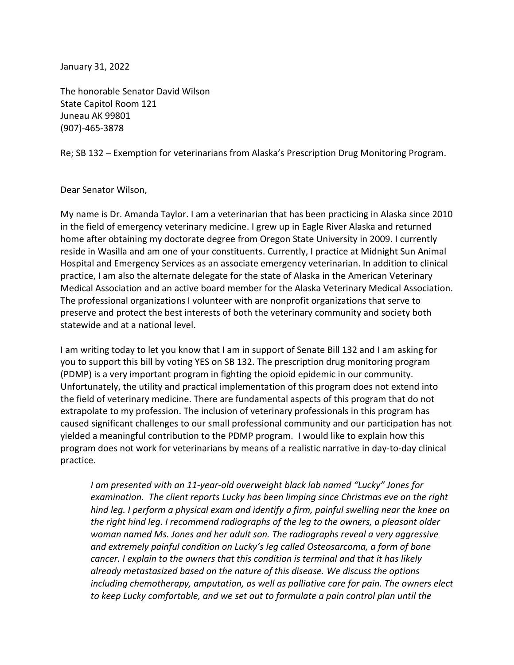January 31, 2022

The honorable Senator David Wilson State Capitol Room 121 Juneau AK 99801 (907)-465-3878

Re; SB 132 – Exemption for veterinarians from Alaska's Prescription Drug Monitoring Program.

## Dear Senator Wilson,

My name is Dr. Amanda Taylor. I am a veterinarian that has been practicing in Alaska since 2010 in the field of emergency veterinary medicine. I grew up in Eagle River Alaska and returned home after obtaining my doctorate degree from Oregon State University in 2009. I currently reside in Wasilla and am one of your constituents. Currently, I practice at Midnight Sun Animal Hospital and Emergency Services as an associate emergency veterinarian. In addition to clinical practice, I am also the alternate delegate for the state of Alaska in the American Veterinary Medical Association and an active board member for the Alaska Veterinary Medical Association. The professional organizations I volunteer with are nonprofit organizations that serve to preserve and protect the best interests of both the veterinary community and society both statewide and at a national level.

I am writing today to let you know that I am in support of Senate Bill 132 and I am asking for you to support this bill by voting YES on SB 132. The prescription drug monitoring program (PDMP) is a very important program in fighting the opioid epidemic in our community. Unfortunately, the utility and practical implementation of this program does not extend into the field of veterinary medicine. There are fundamental aspects of this program that do not extrapolate to my profession. The inclusion of veterinary professionals in this program has caused significant challenges to our small professional community and our participation has not yielded a meaningful contribution to the PDMP program. I would like to explain how this program does not work for veterinarians by means of a realistic narrative in day-to-day clinical practice.

*I am presented with an 11-year-old overweight black lab named "Lucky" Jones for examination. The client reports Lucky has been limping since Christmas eve on the right hind leg. I perform a physical exam and identify a firm, painful swelling near the knee on the right hind leg. I recommend radiographs of the leg to the owners, a pleasant older woman named Ms. Jones and her adult son. The radiographs reveal a very aggressive and extremely painful condition on Lucky's leg called Osteosarcoma, a form of bone cancer. I explain to the owners that this condition is terminal and that it has likely already metastasized based on the nature of this disease. We discuss the options including chemotherapy, amputation, as well as palliative care for pain. The owners elect to keep Lucky comfortable, and we set out to formulate a pain control plan until the*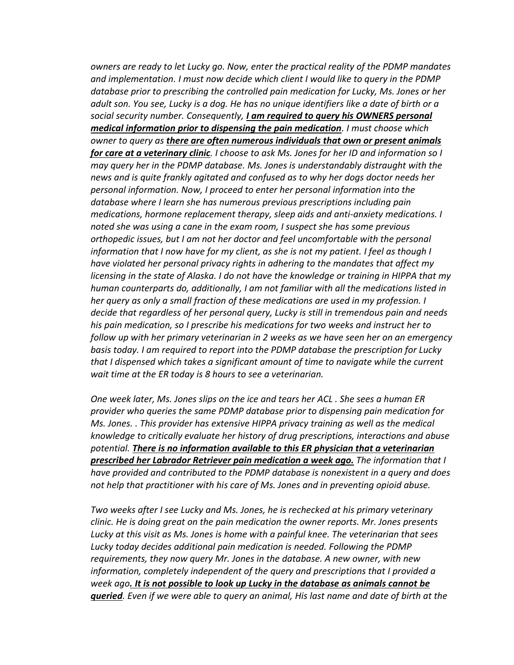*owners are ready to let Lucky go. Now, enter the practical reality of the PDMP mandates and implementation. I must now decide which client I would like to query in the PDMP database prior to prescribing the controlled pain medication for Lucky, Ms. Jones or her adult son. You see, Lucky is a dog. He has no unique identifiers like a date of birth or a social security number. Consequently, I am required to query his OWNERS personal medical information prior to dispensing the pain medication. I must choose which owner to query as there are often numerous individuals that own or present animals for care at a veterinary clinic. I choose to ask Ms. Jones for her ID and information so I may query her in the PDMP database. Ms. Jones is understandably distraught with the news and is quite frankly agitated and confused as to why her dogs doctor needs her personal information. Now, I proceed to enter her personal information into the database where I learn she has numerous previous prescriptions including pain medications, hormone replacement therapy, sleep aids and anti-anxiety medications. I noted she was using a cane in the exam room, I suspect she has some previous orthopedic issues, but I am not her doctor and feel uncomfortable with the personal information that I now have for my client, as she is not my patient. I feel as though I have violated her personal privacy rights in adhering to the mandates that affect my licensing in the state of Alaska. I do not have the knowledge or training in HIPPA that my human counterparts do, additionally, I am not familiar with all the medications listed in her query as only a small fraction of these medications are used in my profession. I decide that regardless of her personal query, Lucky is still in tremendous pain and needs his pain medication, so I prescribe his medications for two weeks and instruct her to follow up with her primary veterinarian in 2 weeks as we have seen her on an emergency basis today. I am required to report into the PDMP database the prescription for Lucky that I dispensed which takes a significant amount of time to navigate while the current wait time at the ER today is 8 hours to see a veterinarian.* 

*One week later, Ms. Jones slips on the ice and tears her ACL . She sees a human ER provider who queries the same PDMP database prior to dispensing pain medication for Ms. Jones. . This provider has extensive HIPPA privacy training as well as the medical knowledge to critically evaluate her history of drug prescriptions, interactions and abuse potential. There is no information available to this ER physician that a veterinarian prescribed her Labrador Retriever pain medication a week ago. The information that I have provided and contributed to the PDMP database is nonexistent in a query and does not help that practitioner with his care of Ms. Jones and in preventing opioid abuse.*

*Two weeks after I see Lucky and Ms. Jones, he is rechecked at his primary veterinary clinic. He is doing great on the pain medication the owner reports. Mr. Jones presents Lucky at this visit as Ms. Jones is home with a painful knee. The veterinarian that sees Lucky today decides additional pain medication is needed. Following the PDMP requirements, they now query Mr. Jones in the database. A new owner, with new information, completely independent of the query and prescriptions that I provided a week ago. It is not possible to look up Lucky in the database as animals cannot be queried. Even if we were able to query an animal, His last name and date of birth at the*